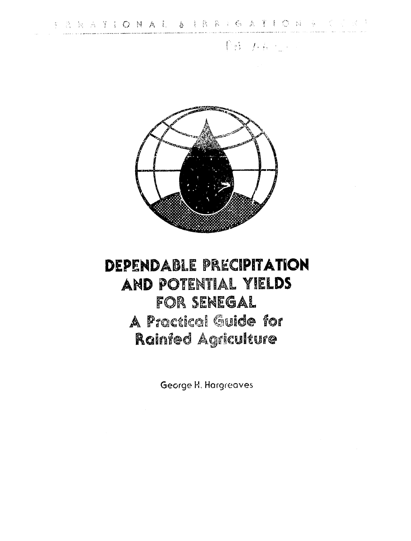**PB** 方程: 200



# DEPENDABLE PRECIPITATION AND POTENTIAL YIELDS FOR SENEGAL A Practical Guide for Rainfed Agriculture

George H. Hargreaves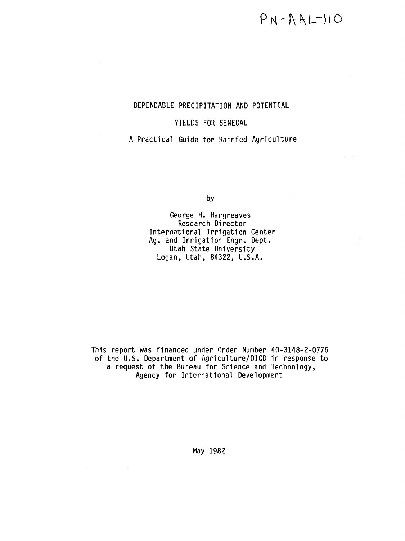$\frac{1}{2}$  .

### DEPENDABLE PRECIPITATION AND POTENTIAL

### YIELDS FOR SENEGAL

A Practical Guide for Rainfed Agriculture

by

George H. Hargreaves Research Director International Irrigation Center Ag. and Irrigation Engr. Dept. Utah State University Logan, Utah, 84322, U.S.A.

This report was financed under Order Number 40-3148-2-0776 of the U.S. Department of Agriculture/OICD in response to a request of the Bureau for Science and Technology, Agency for Intcrnational Development

May 1982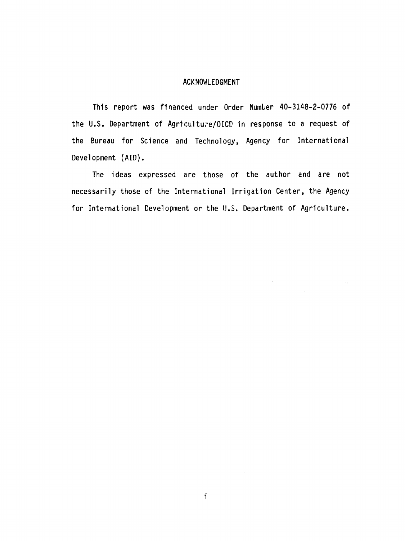#### ACKNOWLEDGMENT

This report was financed under Order Number 40-3148-2-0776 of the U.S. Department of Agriculture/OICD in response to a request of the Bureau for Science and Technology, Agency for International Development (AID).

The ideas expressed are those of the author and are not necessarily those of the International Irrigation Center, the Agency for International Development or the U.S. Department of Agriculture.

 $\frac{1}{4}$ 

 $\sim 10$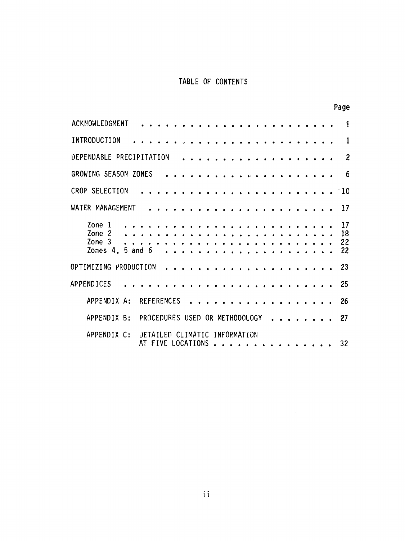# TABLE OF CONTENTS

|                                                    |                                |  |                                      |  |          |  |  |  |                    |  |  |  |  |  | Page                 |
|----------------------------------------------------|--------------------------------|--|--------------------------------------|--|----------|--|--|--|--------------------|--|--|--|--|--|----------------------|
| ACKNOWLEDGMENT                                     |                                |  |                                      |  |          |  |  |  |                    |  |  |  |  |  | i                    |
| INTRODUCTION                                       |                                |  |                                      |  |          |  |  |  |                    |  |  |  |  |  | 1                    |
| DEPENDABLE PRECIPITATION                           |                                |  |                                      |  |          |  |  |  |                    |  |  |  |  |  | $\overline{c}$       |
| GROWING SEASON ZONES                               |                                |  |                                      |  |          |  |  |  |                    |  |  |  |  |  | 6                    |
| CROP SELECTION                                     |                                |  |                                      |  |          |  |  |  |                    |  |  |  |  |  | $^{\circ}10$         |
| WATER MANAGEMENT                                   |                                |  |                                      |  |          |  |  |  |                    |  |  |  |  |  | 17                   |
| Zone 1<br>Zone 2<br>Zone 3<br>Zones $4, 5$ and $6$ |                                |  |                                      |  |          |  |  |  |                    |  |  |  |  |  | 17<br>18<br>22<br>22 |
| OPTIMIZING PRODUCTION                              |                                |  |                                      |  |          |  |  |  |                    |  |  |  |  |  | -23                  |
| <b>APPENDICES</b>                                  |                                |  |                                      |  |          |  |  |  |                    |  |  |  |  |  | 25                   |
| APPENDIX A:                                        | <b>REFERENCES</b>              |  |                                      |  |          |  |  |  |                    |  |  |  |  |  | 26                   |
| APPENDIX B:                                        | PROCEDURES USED OR METHODOLOGY |  |                                      |  |          |  |  |  |                    |  |  |  |  |  | 27                   |
| APPENDIX C:                                        |                                |  | <b>DETAILED</b><br>AT FIVE LOCATIONS |  | CLIMATIC |  |  |  | <b>INFORMATION</b> |  |  |  |  |  | 32                   |

 $\hat{\mathcal{L}}_{\text{max}}$  ,  $\hat{\mathcal{L}}_{\text{max}}$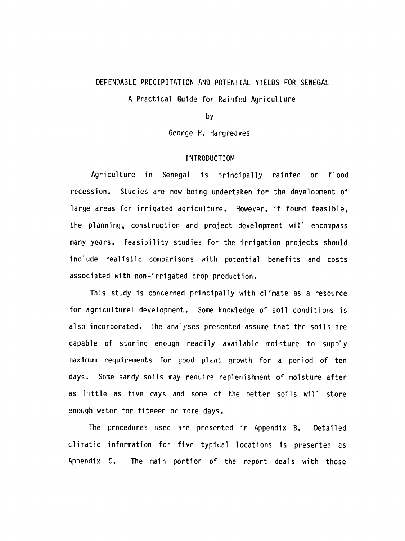# DEPENDABLE PRECIPITATION AND POTENTIAL YIELDS FOR SENEGAL A Practical Guide for Rainfed Agriculture

by

George H. Hargreaves

#### INTRODUCTION

Agriculture in Senegal is principally rainfed or flood recession. Studies are now being undertaken for the development of large areas for irrigated agriculture. However, if found feasible, the planning, construction and project development will encompass many years. Feasibility studies for the irrigation projects should include realistic comparisons with potential benefits and costs associated with non-irrigated crop production.

This study is concerned principally with climate as a resource for agriculturel development. Some knowledge of soil conditions is also incorporated. The analyses presented assume that the soils are capable of storing enough readily available moisture to supply maximum requirements for good plant growth for a period of ten days. Some sandy soils may require replenishment of moisture after as little as five days and some of the better soils will store enough water for fiteeen or more days.

The procedures used ire presented in Appendix B. Detailed climatic information for five typical locations is presented as Appendix C. The main portion of the report deals with those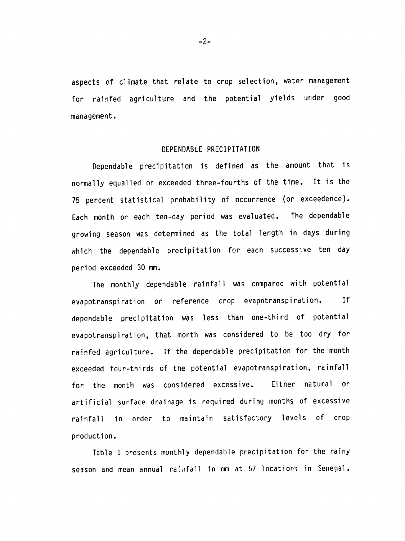aspects of climate that relate to crop selection, water management for rainfed agriculture and the potential yields under good management.

#### DEPENDABLE PRECIPITATION

Dependable precipitation is defined as the amount that is normally equalled or exceeded three-fourths of the time. It is the 75 percent statistical probability of occurrence (or exceedence). Each month or each ten-day period was evaluated. The dependable growing season was determined as the total length in days during which the dependable precipitation for each successive ten day period exceeded 30 mm.

The monthly dependable rainfall was compared with potential evapotranspiration or reference crop evapotranspiration. If dependable precipitation was less than one-third of potential evapotranspiration, that month was considered to be too dry for rainfed agriculture. If the dependable precipitation for the month exceeded four-thirds of tne potential evapotranspiration, rainfall for the month was considered excessive. Either natural or artificial surface drainage is required during months of excessive rainfall in order to maintain satisfactory levels of crop production.

Table 1 presents monthly dependable precipitation for the rainy season and mean annual rainfall in mm at 57 locations in Senegal.

 $-2-$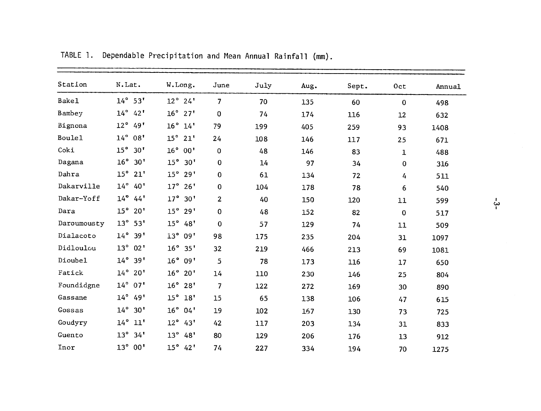| Station       | N.Lat.                          | W.Long.             | June                    | July | Aug. | Sept. | 0 <sub>ct</sub> | Annual |
|---------------|---------------------------------|---------------------|-------------------------|------|------|-------|-----------------|--------|
| <b>Bake1</b>  | $14^\circ$ 53'                  | $12^{\circ}$ 24'    | $\overline{7}$          | 70   | 135  | 60    | $\bf{0}$        | 498    |
| Bambey        | $14^\circ$<br>42'               | $16^\circ$ 27'      | $\mathbf 0$             | 74   | 174  | 116   | 12              | 632    |
| Bignona       | $12^{\circ}$<br>49'             | $16^\circ$ $14'$    | 79                      | 199  | 405  | 259   | 93              | 1408   |
| <b>Boule1</b> | $14^{\circ} 08'$                | $15^{\circ}$<br>21' | 24                      | 108  | 146  | 117   | 25              | 671    |
| Coki          | $15^\circ$ 30'                  | 16°00'              | 0                       | 48   | 146  | 83    | $\mathbf{1}$    | 488    |
| Dagana        | $16^{\circ}$ 30'                | $15^\circ$ 30'      | $\mathbf 0$             | 14   | 97   | 34    | 0               | 316    |
| Dahra         | $15^\circ$ 21'                  | $15^\circ 29'$      | 0                       | 61   | 134  | 72    | 4               | 511    |
| Dakarville    | $14^{\circ}$<br>40 <sup>1</sup> | $17^\circ$<br>26'   | 0                       | 104  | 178  | 78    | 6               | 540    |
| Dakar-Yoff    | $14^{\circ}$<br>44'             | $17^{\circ}$<br>30' | $\overline{2}$          | 40   | 150  | 120   | 11              | 599    |
| Dara          | $15^\circ 20'$                  | $15^{\circ}$<br>29' | 0                       | 48   | 152  | 82    | $\mathbf 0$     | 517    |
| Daroumousty   | $13^{\circ} 53'$                | $15^\circ$ 48'      | $\mathbf 0$             | 57   | 129  | 74    | 11              | 509    |
| Dialacoto     | $14^{\circ}$ 39'                | $13^\circ$<br>09'   | 98                      | 175  | 235  | 204   | 31              | 1097   |
| Didloulou     | $13^\circ$<br>02'               | $16^\circ$ 35'      | 32                      | 219  | 466  | 213   | 69              | 1081   |
| Dioubel       | $14^{\circ}$ 39'                | 16°09'              | $\overline{5}$          | 78   | 173  | 116   | 17              | 650    |
| Fatick        | $14^{\circ} 20'$                | $16^\circ 20'$      | 14                      | 110  | 230  | 146   | 25              | 804    |
| Foundidgne    | 14° 07'                         | $16^\circ 28'$      | $\overline{\mathbf{z}}$ | 122  | 272  | 169   | 30              | 890    |
| Gassane       | $14^{\circ}$<br>49'             | $15^{\circ}$<br>18' | 15                      | 65   | 138  | 106   | 47              | 615    |
| Gossas        | $14^{\circ} 30'$                | $16^{\circ} 04'$    | 19                      | 102  | 167  | 130   | 73              | 725    |
| Goudyry       | $14^{\circ}$ $11'$              | $12^{\circ}$ 43'    | 42                      | 117  | 203  | 134   | 31              | 833    |
| Guento        | $13^{\circ}$ 34'                | $13^\circ$<br>48'   | 80                      | 129  | 206  | 176   | 13              | 912    |
| Inor          | $13^{\circ}00'$                 | $15^{\circ}$ 42'    | 74                      | 227  | 334  | 194   | 70              | 1275   |

TABLE 1. Dependable Precipitation and Mean Annual Rainfall (mm).

 $\frac{1}{4}$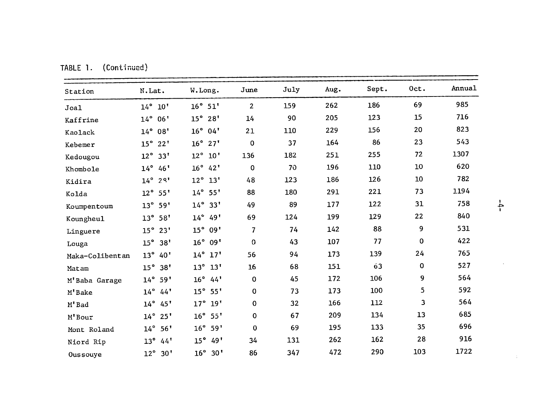| Station         | N.Lat.                          | W. Long.            | June           | July | Aug. | Sept. | Oct.     | Annual |
|-----------------|---------------------------------|---------------------|----------------|------|------|-------|----------|--------|
| Joal            | $14^{\circ}$ 10'                | $16^\circ$ 51'      | $\overline{2}$ | 159  | 262  | 186   | 69       | 985    |
| Kaffrine        | $14^{\circ}06'$                 | $15^\circ 28'$      | 14             | 90   | 205  | 123   | 15       | 716    |
| Kaolack         | $14^{\circ} 08'$                | $16^\circ$ 04'      | 21             | 110  | 229  | 156   | 20       | 823    |
| Kebemer         | $15^{\circ}$<br>22 <sup>1</sup> | $16^\circ$ 27'      | $\mathbf 0$    | 37   | 164  | 86    | 23       | 543    |
| Kedougou        | $12^{\circ}$<br>33'             | $12^{\circ}$ 10'    | 136            | 182  | 251  | 255   | 72       | 1307   |
| Khombole        | $14^{\circ} 46'$                | $16^\circ$ 42'      | $\mathbf 0$    | 70   | 196  | 110   | 10       | 620    |
| Kidira          | $14^{\circ}$<br>$2^{9}$         | $12^{\circ}$ 13'    | 48             | 123  | 186  | 126   | $10\,$   | 782    |
| Kolda           | $12^{\circ} 55'$                | $14^{\circ} 55'$    | 88             | 180  | 291  | 221   | 73       | 1194   |
| Koumpentoum     | $13^{\circ} 59'$                | $14^{\circ}$<br>33' | 49             | 89   | 177  | 122   | 31       | 758    |
| Koungheul       | $13^{\circ} 58'$                | $14^{\circ} 49'$    | 69             | 124  | 199  | 129   | 22       | 840    |
| Linguere        | 15°<br>23'                      | $15^{\circ}$<br>09' | $\overline{7}$ | 74   | 142  | 88    | 9        | 531    |
| Louga           | $15^\circ$ 38'                  | $16^{\circ}$<br>09' | $\Omega$       | 43   | 107  | 77    | 0        | 422    |
| Maka-Colibentan | $13^{\circ}$<br>40 <sup>1</sup> | $14^\circ$ $17'$    | 56             | 94   | 173  | 139   | 24       | 765    |
| Matam           | 15°<br>38'                      | $13^{\circ}$<br>13' | 16             | 68   | 151  | 63    | $\bf{0}$ | 527    |
| M'Baba Garage   | $14^{\circ} 59'$                | $16^{\circ}$<br>44' | $\mathbf 0$    | 45   | 172  | 106   | 9        | 564    |
| M'Bake          | $14^{\circ}$ 44'                | $15^{\circ}$<br>55' | $\mathbf 0$    | 73   | 173  | 100   | 5        | 592    |
| M'Bad           | $14^{\circ} 45'$                | $17^\circ$ 19'      | $\mathbf 0$    | 32   | 166  | 112   | 3        | 564    |
| M'Bour          | $14^{\circ} 25'$                | $16^\circ$ 55'      | $\pmb{0}$      | 67   | 209  | 134   | 13       | 685    |
| Mont Roland     | $14^{\circ}$<br>56'             | $16^{\circ}$<br>59' | $\bf{0}$       | 69   | 195  | 133   | 35       | 696    |
| Niord Rip       | $13^\circ$<br>44'               | $15^{\circ}$<br>49' | 34             | 131  | 262  | 162   | 28       | 916    |
| Oussouye        | $12^{\circ} 30'$                | $16^\circ$ 30'      | 86             | 347  | 472  | 290   | 103      | 1722   |

TABLE **1.** (Continued)

 $\sim$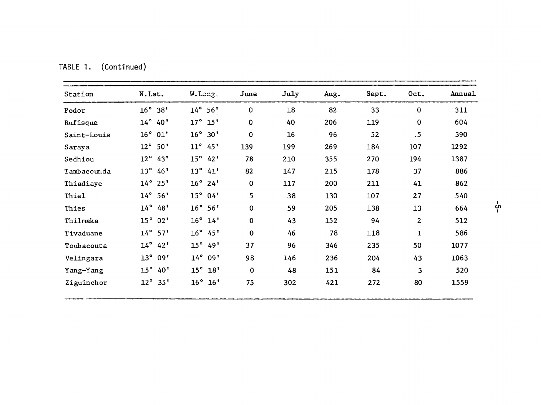| Station     | N.Lat.                          | W.Leng.                | June        | July | Aug. | Sept. | Oct.           | Annual |
|-------------|---------------------------------|------------------------|-------------|------|------|-------|----------------|--------|
| Podor       | $16^{\circ}$<br>38'             | $14^{\circ}$<br>56'    | $\mathbf 0$ | 18   | 82   | 33    | $\mathbf 0$    | 311    |
| Rufisque    | $14^{\circ}$<br>40'             | $17^\circ$ $15'$       | $\mathbf 0$ | 40   | 206  | 119   | $\mathbf 0$    | 604    |
| Saint-Louis | $16^\circ$ 01'                  | $16^{\circ}$<br>30'    | $\mathbf 0$ | 16   | 96   | 52    | $.5\,$         | 390    |
| Saraya      | $12^{\circ}$<br>50'             | $11^{\circ}$<br>45'    | 139         | 199  | 269  | 184   | 107            | 1292   |
| Sedhiou     | $12^{\circ}$<br>43'             | $15^\circ$ 42'         | 78          | 210  | 355  | 270   | 194            | 1387   |
| Tambacounda | $13^{\circ}$<br>46'             | $13^{\circ}$<br>41'    | 82          | 147  | 215  | 178   | 37             | 886    |
| Thiadiaye   | $14^\circ 25'$                  | $16^{\circ}$<br>24'    | $\mathbf 0$ | 117  | 200  | 211   | 41             | 862    |
| Thiel       | $14^{\circ}$ 56'                | $15^{\circ}$<br>04'    | 5           | 38   | 130  | 107   | 27             | 540    |
| Thies       | $14^{\circ}$<br>48'             | $16^{\circ} 56'$       | $\mathbf 0$ | 59   | 205  | 138   | 13             | 664    |
| Thilmaka    | $15^{\circ}$<br>02'             | $16^\circ$ $14'$       | $\mathbf 0$ | 43   | 152  | 94    | $\overline{2}$ | 512    |
| Tivaduane   | $14^\circ$ 57'                  | $16^{\circ}$<br>45"    | $\mathbf 0$ | 46   | 78   | 118   | 1              | 586    |
| Toubacouta  | $14^{\circ}$<br>42'             | $15^{\circ}$<br>49'    | 37          | 96   | 346  | 235   | 50             | 1077   |
| Velingara   | $13^{\circ}$<br>09'             | $14^{\circ}$<br>09'    | 98          | 146  | 236  | 204   | 43             | 1063   |
| Yang-Yang   | $15^{\circ}$<br>40 <sup>1</sup> | 15 <sup>e</sup><br>18' | $\mathbf 0$ | 48   | 151  | 84    | 3              | 520    |
| Ziguinchor  | $12^{\circ}$<br>35'             | $16^{\circ}$<br>16'    | 75          | 302  | 421  | 272   | 80             | 1559   |

TABLE **1.** (Continued)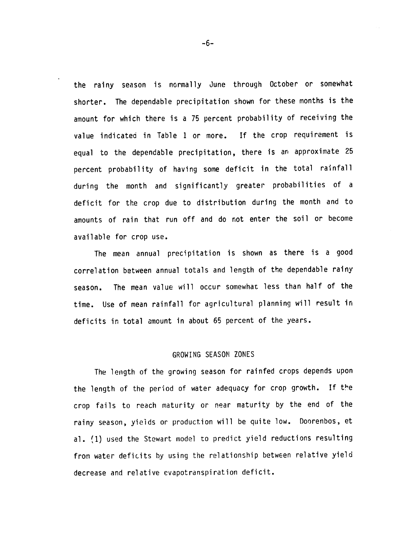the rainy season is normally June through October or somewhat shorter. The dependable precipitation shown for these months is the amount for which there is a 75 percent probability of receiving the value indicated in Table **I** or more. If the crop requirement is equal to the dependable precipitation, there is an approximate 25 percent probability of having some deficit in the total rainfall during the month and significantly greater probabilities of a deficit for the crop due to distribution during the month and to amounts of rain that run off and do not enter the soil or become available for crop use.

The mean annual precipitation is shown as there is a good correlation between annual totals and length of the dependable rainy season. The mean value will occur somewhat less than half of the time. Use of mean rainfall for agricultural planning will result in deficits in total amount in about 65 percent of the years.

#### GROWING SEASON ZONES

The length of the growing season for rainfed crops depends upon the length of the period of water adequacy for crop growth. If the crop fails to reach maturity or near maturity by the end of the rainy season, yields or production will be quite low. Doorenbos, et al. (1) used the Stewart model to predict yield reductions resulting from water deficits by using the relationship between relative yield decrease and relative evapotranspiration deficit.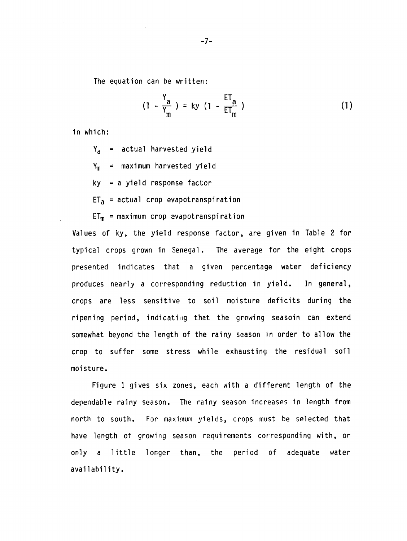The equation can be written:

$$
(1 - \frac{Y_a}{Y_m}) = ky (1 - \frac{ET_a}{ET_m})
$$
 (1)

in which:

Ya **=** actual harvested yield  $Y_m$  = maximum harvested yield ky **=** a yield response factor  $ET_a$  = actual crop evapotranspiration

 $ET_m = maximum$  crop evapotranspiration

Values of ky, the yield response factor, are given in Table 2 for typical crops grown in Senegal. The average for the eight crops presented indicates that a given percentage water deficiency produces nearly a corresponding reduction in yield. In general, crops are less sensitive to soil moisture deficits during the ripening period, indicating that the growing seasoin can extend somewhat beyond the length of the rainy season in order to allow the crop to suffer some stress while exhausting the residual soil moisture.

Figure **1** gives six zones, each with a different length of the dependable rainy season. The rainy season increases in length from north to south. For maximum yields, crops must be selected that have length of growing season requirements corresponding with, or only a little longer than, the period of adequate water availability.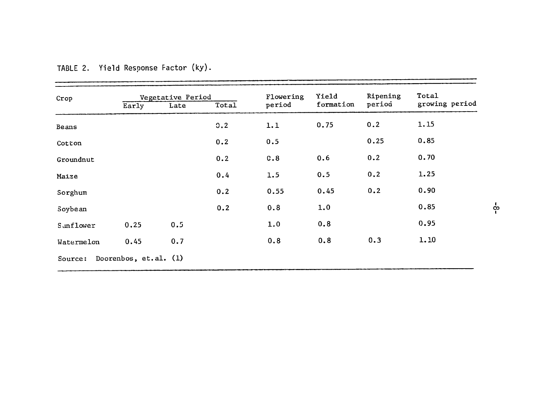| Crop       |                       | Vegetative Period |       | Flowering | Yield     | Ripening | Total          |
|------------|-----------------------|-------------------|-------|-----------|-----------|----------|----------------|
|            | Early                 | Late              | Total | period    | formation | period   | growing period |
| Beans      |                       |                   | 0.2   | 1.1       | 0.75      | 0.2      | 1.15           |
| Cotton     |                       |                   | 0.2   | 0.5       |           | 0.25     | 0.85           |
| Groundnut  |                       |                   | 0.2   | C.8       | 0.6       | 0.2      | 0.70           |
| Maize      |                       |                   | 0.4   | 1.5       | 0.5       | 0.2      | 1.25           |
| Sorghum    |                       |                   | 0.2   | 0.55      | 0.45      | 0.2      | 0.90           |
| Soybean    |                       |                   | 0.2   | 0.8       | 1.0       |          | 0.85           |
| Sunflower  | 0.25                  | 0.5               |       | 1.0       | 0.8       |          | 0.95           |
| Watermelon | 0.45                  | 0.7               |       | 0.8       | 0.8       | 0.3      | 1.10           |
| Source:    | Doorenbos, et.al. (1) |                   |       |           |           |          |                |

# TABLE 2. Yield Response Factor **(ky).**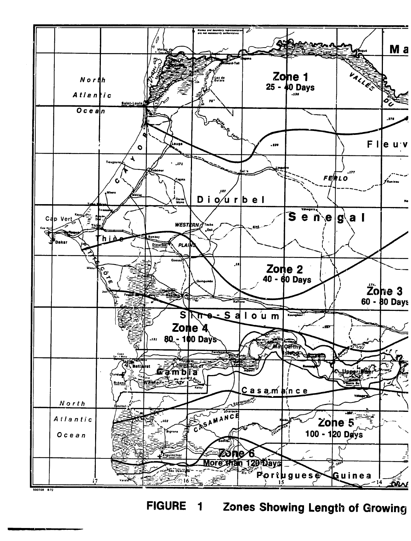

Zones Showing Length of Growing **FIGURE**  $\overline{\mathbf{1}}$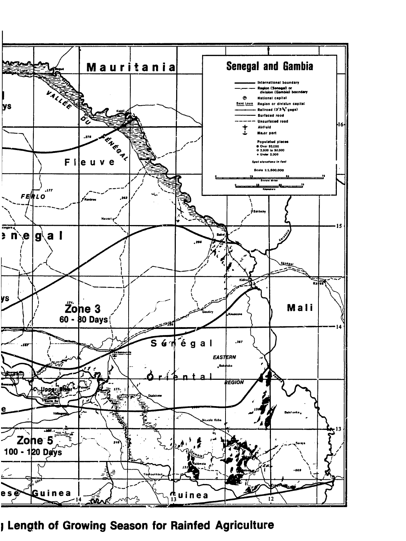

J Length of Growing Season for Rainfed Agriculture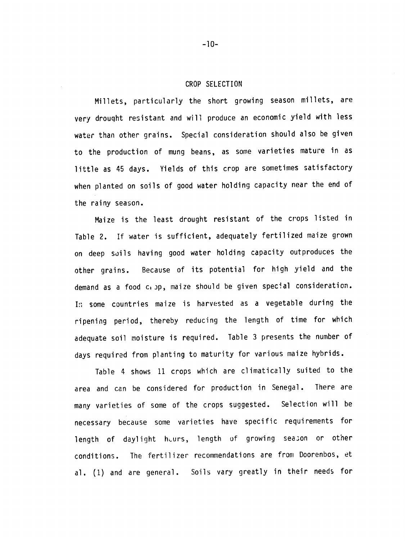#### CROP SELECTION

Millets, particularly the short growing season millets, are very drouqht resistant and will produce an economic yield with less water than other grains. Special consideration should also be given to the production of mung beans, as some varieties mature in as little as 45 days. Yields of this crop are sometimes satisfactory when planted on soils of good water holding capacity near the end of the rainy season.

Maize is the least drought resistant of the crops listed in Table 2. If water is sufficient, adequately fertilized maize grown on deep soils having good water holding capacity outproduces the other grains. Because of its potential for high yield and the demand as a food c, jp, maize should be given special consideration. I, some countries maize is harvested as a vegetable during the ripening period, thereby reducing the length of time for which adequate soil moisture is required. Table 3 presents the number of days required from planting to maturity for various maize hybrids.

Table 4 shows 11 crops which are climatically suited to the area and can be considered for production in Senegal. There are many varieties of some of the crops suggested. Selection will be necessary because some varieties have specific requirements for length of daylight heurs, length of growing season or other conditions. The fertilizer recommendations are from Doorenbos, et al. **(1)** and are general. Soils vary greatly in their needs for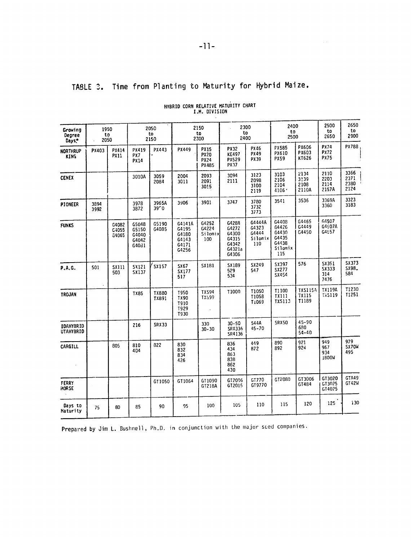# **TABLE Z.** Time from Planting to Maturity for Hybrid Maize.

| Growing<br>Degree<br>Days.           | 1950<br>to<br>2050 |                         | 2050<br>to<br>2150                        |                            |                                                     | 2150<br>to<br>2300                                 | 2300<br>to<br>2400                                           |                                            | 2400<br>to<br>2500                                          |                                         | 2500<br>to<br>2650                 | 2650<br>to<br>2900           |
|--------------------------------------|--------------------|-------------------------|-------------------------------------------|----------------------------|-----------------------------------------------------|----------------------------------------------------|--------------------------------------------------------------|--------------------------------------------|-------------------------------------------------------------|-----------------------------------------|------------------------------------|------------------------------|
| <b>NORTHRUP</b><br>KING              | PX403              | PX414<br><b>PX11</b>    | PX419<br>PX7<br><b>PX14</b>               | PX443                      | PX449                                               | <b>PX15</b><br><b>PX20</b><br><b>PX24</b><br>PX485 | <b>PX32</b><br><b>KE497</b><br><b>PX529</b><br>PX37          | PX46<br>PX49<br>PX39                       | <b>PX585</b><br>PX610<br>PX59                               | PX606<br>PX603<br>KT626                 | PX74<br><b>PX72</b><br><b>PX75</b> | PX788                        |
| <b>CENEX</b>                         |                    |                         | 3010A                                     | 3059<br>2084               | 2004<br>3011                                        | 2093<br>2091<br>3015                               | 3094<br>2111                                                 | 3123<br>2098<br>3100<br>2119               | 3103<br>2106<br>2104<br>4106 ·                              | 2134<br>3139<br>2108<br>2110A           | 2110<br>2203<br>2114<br>2157A      | 3366<br>2371<br>2380<br>2124 |
| <b>PIONEER</b>                       | 3894<br>3992       |                         | 3978<br>3872                              | 3965A<br>39 <sup>r</sup> 0 | 3906                                                | 3901                                               | 3747                                                         | 3780<br>3732<br>3773                       | 3541                                                        | 3536                                    | 3369A<br>3360                      | 3323<br>3183                 |
| <b>FUNKS</b>                         |                    | G4082<br>G4055<br>G4065 | G5048<br>G5150<br>G4040<br>G4042<br>G4021 | G5190<br>G4085             | G4141A<br>G4195<br>G4180<br>G4143<br>G4171<br>G4256 | G4252<br>G4224<br>Silomix<br>100                   | G4288<br>G4272<br>G4300<br>G4315<br>G4342<br>G4321a<br>G4306 | G4444A<br>64323<br>G4444<br>Silomix<br>110 | G4408<br>G4426<br>G4430<br>G4435<br>G4438<br>Silomix<br>115 | G4465<br>G4449<br>G4450                 | G4507<br>G4507A<br>G4657           |                              |
| P.A.G.                               | 501                | SX111<br>503            | SX121<br><b>SX137</b>                     | SX157                      | SX 67<br>SX177<br>517                               | <b>SX181</b>                                       | SX189<br>529<br>534                                          | SX249<br>547                               | SX397<br>SX277<br>SX454                                     | 576                                     | SX351<br>SX333<br>314<br>7476      | SX373<br>SX98.<br>584        |
| <b>TROJAN</b>                        |                    |                         | TX85                                      | <b>TX880</b><br>TX891      | <b>T950</b><br>TX90<br>T910<br>T929<br>T930         | <b>TX594</b><br>TX599                              | T1000                                                        | T1050<br>T1058<br>T1069                    | T1100<br><b>TX111</b><br>TX5113                             | <b>TXS115A</b><br><b>TX115</b><br>T1189 | <b>TX119A</b><br><b>TXS119</b>     | <b>T1230</b><br>T1251        |
| <b>IDAHYBRID</b><br><b>UTAHYBRID</b> |                    |                         | 216                                       | <b>SRX33</b>               |                                                     | 330<br>$30 - 30$                                   | $30 - 50$<br>SRX336<br>SR4136                                | 544A<br>$45 - 70$                          | <b>SRX50</b>                                                | 45-90<br>680<br>$54 - 40$               |                                    |                              |
| CARGILL                              |                    | 805                     | 810<br>404                                | 822                        | 830<br>832<br>834<br>426                            |                                                    | 836<br>434<br>863<br>838<br>862<br>430                       | 449<br>872                                 | 890<br>892                                                  | 921<br>924                              | 949<br>967<br>934<br>1800W         | 979<br>SX70W<br>495          |
| FERRY<br><b>MORSE</b>                |                    |                         |                                           | GT1050                     | GT1064                                              | GT1090<br>GT218A                                   | GT2006<br>GT2015                                             | GT770<br>GT9770                            | GT2080                                                      | GT3006<br>GT484                         | GT3020<br>GT3025<br>GT4025         | GTA49<br>GT42W               |
| Days to<br>Maturity                  | 75                 | 80                      | 85                                        | 90                         | 95                                                  | 100                                                | 105                                                          | 110                                        | 115                                                         | 120                                     | 125                                | 130                          |

# HYBRID CORN RELATIVE MATURITY CHART I.M. DIVISION

Prepared **by** Jim L. Bushnell, Ph.D. in conjunction with the major sed companies.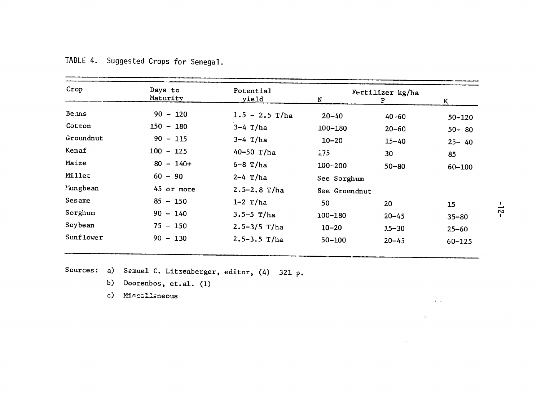| Crop      | Days to      | Potential        |               | Fertilizer kg/ha |            |              |
|-----------|--------------|------------------|---------------|------------------|------------|--------------|
|           | Maturity     | yield            | N             | P                | K          |              |
| Bems      | $90 - 120$   | $1.5 - 2.5$ T/ha | $20 - 40$     | $40 - 60$        | $50 - 120$ |              |
| Cotton    | $150 - 180$  | $3-4$ T/ha       | $100 - 180$   | $20 - 60$        | $50 - 80$  |              |
| Groundnut | $90 - 115$   | $3-4$ T/ha       | $10 - 20$     | $15 - 40$        | $25 - 40$  |              |
| Kenaf     | $100 - 125$  | 40-50 T/ha       | 1.75          | 30               | 85         |              |
| Maize     | $80 - 140 +$ | $6 - 8$ T/ha     | $100 - 200$   | $50 - 80$        | $60 - 100$ |              |
| Millet    | $60 - 90$    | $2-4$ T/ha       | See Sorghum   |                  |            |              |
| 'ungbean  | 45 or more   | $2.5 - 2.8$ T/ha | See Groundnut |                  |            |              |
| Sesame    | $85 - 150$   | $1-2$ T/ha       | 50            | 20               | 15         | ∸            |
| Sorghum   | $90 - 140$   | $3.5 - 5$ T/ha   | 100-180       | $20 - 45$        | $35 - 80$  | $\mathbf{v}$ |
| Soybean   | $75 - 150$   | $2.5 - 3/5$ T/ha | $10 - 20$     | $1.5 - 30$       | $25 - 60$  |              |
| Sunflower | $90 - 130$   | $2.5 - 3.5$ T/ha | $50 - 100$    | $20 - 45$        | $60 - 125$ |              |

|  | TABLE 4. Suggested Crops for Senegal. |  |  |
|--|---------------------------------------|--|--|
|  |                                       |  |  |

Sources: a) Samuel C. Litzenberger, editor, (4) 321 p.

- b) Doorenbos, et.al. (1)
- c) Miscallaneous

 $\mathcal{O}(\mathcal{O})$  ,  $\mathcal{O}(\mathcal{O})$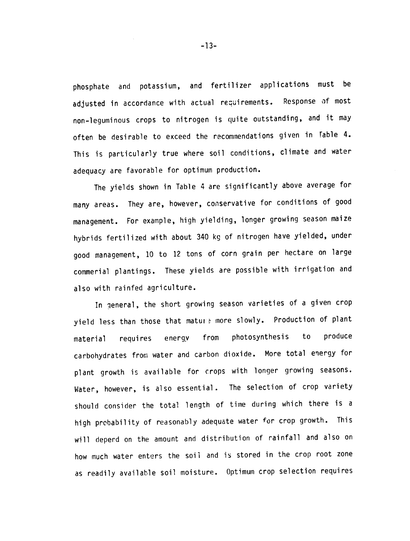phosphate and potassium, and fertilizer applications must be adjusted in accordance with actual requirements. Response of most non-leguminous crops to nitrogen is quite outstanding, and it may often be desirable to exceed the recommendations given in Fable 4. This is particularly true where soil conditions, climate and water adequacy are favorable for optimum production.

The yields shown in Table 4 are significantly above average for many areas. They are, however, conservative for conditions of good management. For example, high yielding, longer growing season maize hybrids fertilized with about 340 kg of nitrogen have yielded, under good management, 10 to 12 tons of corn grain per hectare on large commerial plantings. These yields are possible with irrigation and also with rainfed agriculture.

In general, the short growing season varieties of a given crop yield less than those that mature more slowly. Production of plant material requires energy from photosynthesis to produce carbohydrates from water and carbon dioxide. More total energy for plant growth is available for crops with longer growing seasons. Water, however, is also essential. The selection of crop variety should consider the total length of time during which there is a high probability of reasonably adequate water for crop growth. This will deperd on the amount and distribution of rainfall and also on how much water enters the soil and is stored in the crop root zone as readily available soil moisture. Optimum crop selection requires

 $-13-$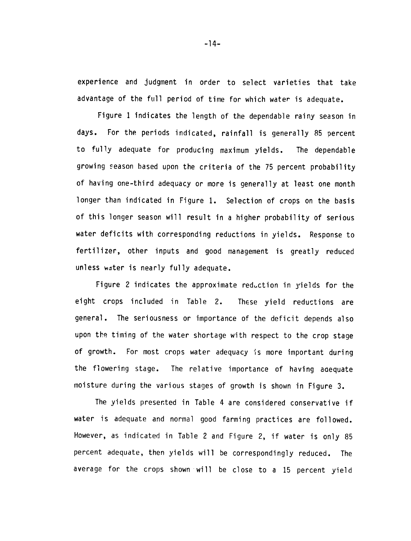experience and judgment in order to select varieties that take advantage of the full period of time for which water is adequate.

Figure 1 indicates the length of the dependable rainy season in days. For the periods indicated, rainfall is generally 85 percent to fully adequate for producing maximum yields. The dependable growing season based upon the criteria of the 75 percent probability of having one-third adequacy or more is generally at least one month longer than indicated in Figure 1. Selection of crops on the basis of this longer season will result in a higher probability of serious water deficits with corresponding reductions in yields. Response to fertilizer, other inputs and good management is greatly reduced unless wdter is nearly fully adequate.

Figure 2 indicates the approximate reduction in yields for the eight crops included in Table 2. These yield reductions are general. The seriousness or importance of the deficit depends also upon the timing of the water shortage with respect to the crop stage of growth. For most crops water adequacy is more important during the flowering stage. The relative importance of having adequate moisture during the various stages of growth is shown in Figure 3.

The yields presented in Table 4 are considered conservative if water is adequate and normal good farming practices are followed. However, as indicated in Table 2 and Figure 2, if water is only 85 percent adequate, then yields will be correspondingly reduced. The average for the crops shown will be close to a 15 percent yield

 $-14-$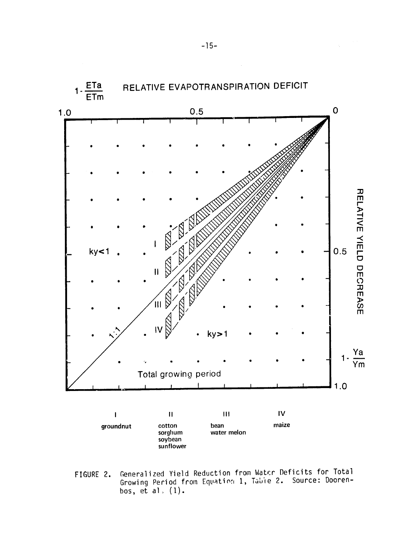

Generalized Yield Reduction from Water Deficits for Total FIGURE 2. Growing Period from Equation 1, Table 2. Source: Doorenbos, et al.  $(1)$ .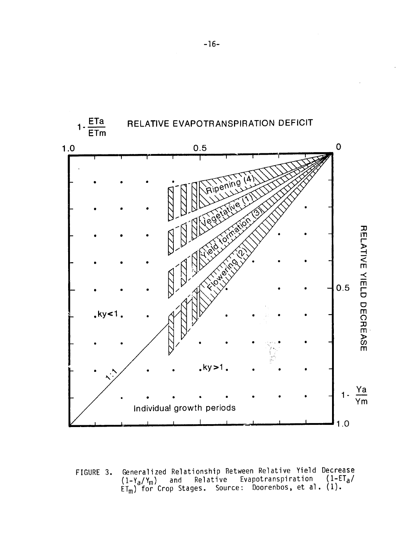

Generalized Relationship Between Relative Yield Decrease FIGURE 3.  $(1-Y_a/Y_m)$  and Relative Evapotranspiration  $(1-ET_a/T_m)$  for Crop Stages. Source: Doorenbos, et al. (1).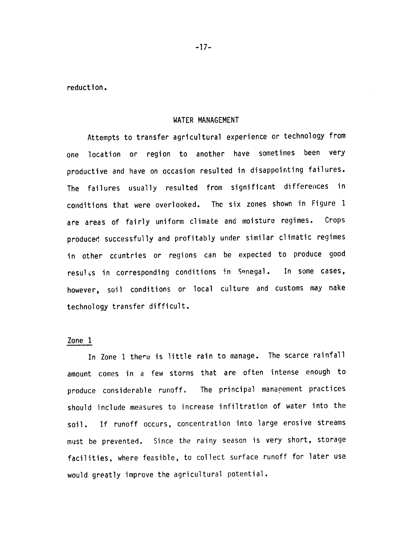reduction.

#### WATER **MANAGEMENT**

Attempts to transfer agricultural experience or technology from one location or region to another have sometimes been very productive and have on occasion resulted in disappointing failures. The failures usually resulted from significant differences in conditions that were overlooked. The six zones shown in Figure 1 are areas of fairly uniform climate and moisture regimes. Crops produced successfully and profitably under similar climatic regimes in other ccuntries or regions can be expected to produce good resulcs in corresponding conditions in Senegal. In some cases, however, soil conditions or local culture and customs may make technology transfer difficult.

#### Zone 1

In Zone 1 there is little rain to manage. The scarce rainfall amount comes in a few storms that are often intense enough to produce considerable runoff. The principal manapement practices should include measures to increase infiltration of water into the soil. If runoff occurs, concentration into large erosive streams must be prevented. Since the rainy season is very short, storage facilities, where feasible, to collect surface runoff for later use would greatly improve the agricultural potential.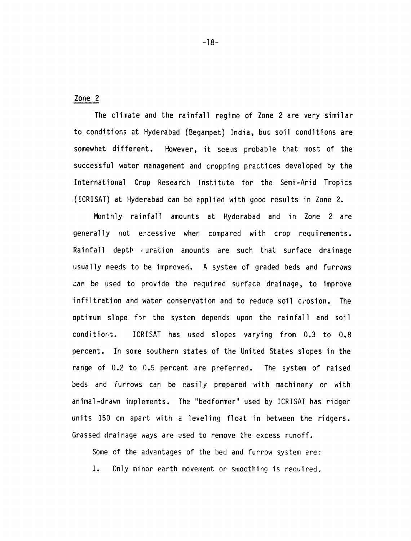Zone 2

The climate and the rainfall regime of Zone 2 are very similar to conditios at Hyderabad (Begampet) India, but soil conditions are somewhat different. However, it seems probable that most of the successful water management and cropping practices developed by the International Crop Research Institute for the Semi-Arid Tropics (ICRISAT) at Hyderabad can be applied with good results in Zone 2.

Monthly rainfall amounts at Hyderabad and in Zone 2 are generally not excessive when compared with crop requirements. Rainfall depth (uration amounts are such that surface drainage usually needs to be improved. A system of graded beds and furrows zan be used to provide the required surface drainage, to improve infiltration and water conservation and to reduce soil crosion. The optimum slope for the system depends upon the rainfall and soil conditiori. ICRISAT has used slopes varying from 0.3 to 0.8 percent. In some southern states of the United States slopes in the range of 0.2 to 0.5 percent are preferred. The system of raised beds and furrows can be easily prepared with machinery or with animal-drawn implements. The "bedformer" used by ICRISAT has ridger units 150 cm apart with a leveling float in between the ridgers. Grassed drainage ways are used to remove the excess runoff.

Some of the advantages of the bed and furrow system are:

1. Only minor earth movement or smoothing is required,

**-18-**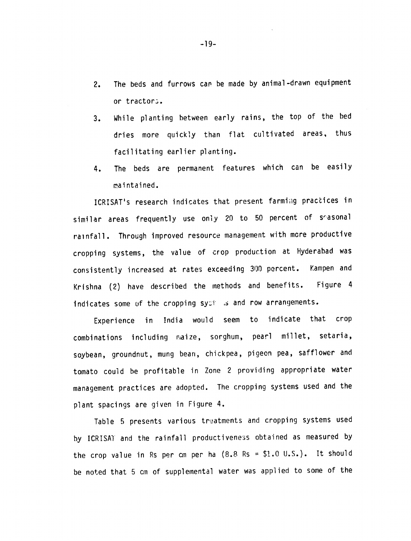- 2. The beds and furrows can be made by animal-drawn equipment or tractors.
- 3. While planting between early rains, the top of the bed dries more quickly than flat cultivated areas, thus facilitating earlier planting.
- 4. The beds are permanent features which can be easily raintained.

ICRISAT's research indicates that present farming practices in similar areas frequently use only 20 to 50 percent of seasonal rainfall. Through improved resource management with more productive cropping systems, the value of crop production at Hyderabad was consistently increased at rates exceeding 300 percent. Kampen and Krishna (2) have described the methods and benefits. Figure 4 indicates some uf the cropping syot is and row arrangements.

Experience in India would seem to indicate that crop combinations including maize, sorghum, pearl millet, setaria, soybean, groundnut, mung bean, chickpea, pigeon pea, safflower and tomato could be profitable in Zone 2 providing appropriate water management practices are adopted. The cropping systems used and the plant spacings are given in Figure 4.

Table 5 presents various treatments and cropping systems used **by** ICRISAT and the rainfall productiveness obtained as measured by the crop value in Rs per cm per ha (8.8 Rs **= \$1.0** U.S.). It should be noted that 5 cm of supplemental water was applied to some of the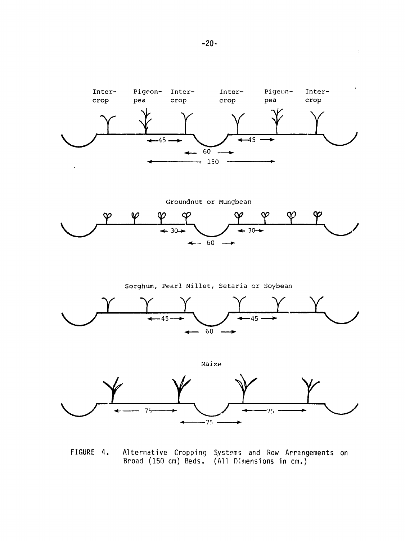

Groundnut or Mungbean  $\bm{\varphi}$  $\infty$  $\varphi$ φ တု  $+ 30 +$  $\div$  30 $\div$  $\leftrightarrow$  - 60  $-$ 

Sorghum, Pearl Millet, Setaria or Soybean



Maize  $7<sub>5</sub>$  $-75$ . **775** 

FIGURE 4. Alternative Cropping Systems and Row Arrangements on Broad (150 cm) Beds. (All Dimensions in cm.)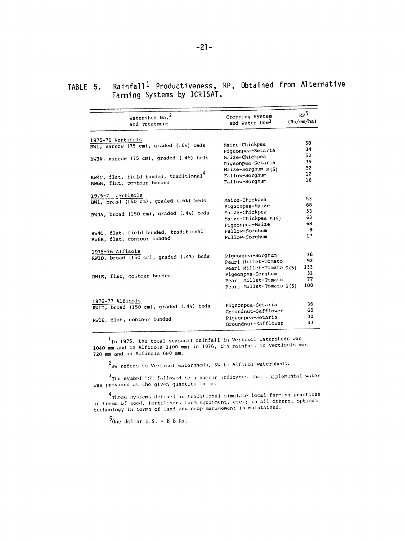### TABLE **5.** Rainfall 1 Productiveness, RP, Obtained from Alternative Farming Systems **by** ICRISAT.

| Watershed No. <sup>2</sup><br>and Treatment | Cropping System<br>and Water Use <sup>3</sup> | RP <sup>5</sup><br>(Rs/cm/ha) |
|---------------------------------------------|-----------------------------------------------|-------------------------------|
| 1975-76 Vertisols                           |                                               |                               |
| BW1, narrow (75 cm), graded (.6%) beds      | Maize-Chickpea                                | 58<br>34                      |
|                                             | Pigeonpea-Setaria                             | 52                            |
| BW3A, narrow (75 cm), graded (.4%) beds     | M.ize-Chickpea<br>Pigeonpea-Setaria           | 39                            |
|                                             | Maize-Sorghum S(5)                            | 62                            |
| BW4C, flat, field bunded, traditional       | Fallow-Sorghum                                | 12                            |
| BW6B, flat, contour bunded                  | Fallow-Sorghum                                | 16                            |
|                                             |                                               |                               |
| 19/5-7 vertisols                            | Maize-Chickpea                                | 53                            |
| BWl, br(al (150 cm), graded (.6%) beds      | Pigeonpea-Maize                               | 68                            |
| BW3A, broad (150 cm), graded (.4%) beds     | Maize-Chickpea                                | 53                            |
|                                             | Maize-Chickpea S(5)                           | 63                            |
|                                             | Pigeonpea-Maize                               | 68                            |
| BW4C, flat, field bunded, traditional       | Fallow-Sorghum                                | 9                             |
| BW6B, flat, contour bunded                  | Fallow-Sorghum                                | 17                            |
| 1975-76 Alfisols                            |                                               |                               |
| RWID, broad (150 cm), graded (.4%) beds     | Pigeonpea-Sorghum                             | 36                            |
|                                             | Pearl Millet-Tomato                           | 92                            |
|                                             | Pearl Millet-Tomato S(5)                      | 133                           |
| RWIE, flat, contour bunded                  | Pigeonpea-Sorghum                             | 31                            |
|                                             | Pearl Millet-Tomato                           | 77<br>100                     |
|                                             | Pearl Millet-Tomato S(5)                      |                               |
| 1976-77 Alfisols                            |                                               |                               |
| RWlD, broad (150 cm), graded (.4%) beds     | Pigeonpea-Setaria                             | 36                            |
|                                             | Groundnut-Safflower                           | 66                            |
| RWlE, flat, contour bunded                  | Pigeonpea-Setaria                             | 30                            |
|                                             | Groundnut-Safflower                           | 43                            |

**1In** 1975, the to;al seasonal rainfall it Vertisol watersheds was 1040 mm and in Alfisols 1100 mm; in 1976, the rainfall on Vertisols was<br>720 mm and on Alfisols 680 mm. 720 mm and on Alfisols 680 mm.

 $2_{BW}$  refers to Vertisol watersheds, RW to Alfisol watersheds.

<sup>3</sup>The symbol "S" followed by a number indicates that upplemental water was provided at the given quantity in cm.

<sup>4</sup>Those systems defined as traditional simulate local farming practices Those systems derined as craditional mimericorners.<br>in terms of seed, fertiliser, farm equipment, etc.; in all others, optimum<br>technology in terms of land and crop management is maintained.

 $5_{0.99}$  dollar U.S. = 8.8 Rs.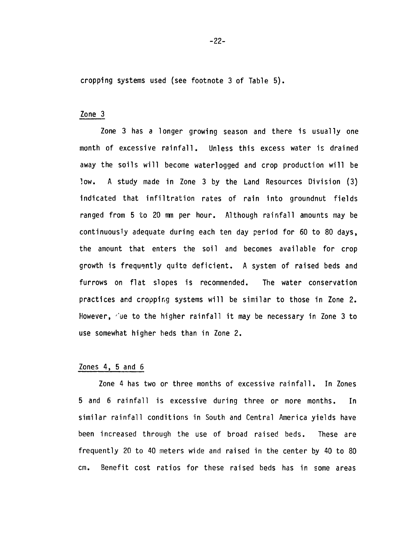cropping systems used (see footnote 3 of Table 5).

#### Zone 3

Zone 3 has a longer growing season and there is usually one month of excessive rainfall. Unless this excess water is drained away the soils will become waterlogged and crop production will be low. A study made in Zone 3 by the Land Resources Division (3) indicated that infiltration rates of rain into groundnut fields ranged from 5 to 20 mm per hour. Although rainfall amounts may be continuously adequate during each ten day period for 60 to 80 days, the amount that enters the soil and becomes available for crop growth is frequently quite deficient. A system of raised beds and furrows on flat slopes is recommended. The water conservation practices and cropping systems will be similar to those in Zone 2. However, 'ue to the higher rainfall it may be necessary in Zone 3 to use somewhat higher beds than in Zone 2.

#### Zones 4, 5 and 6

Zone 4 has two or three months of excessive rainfall. In Zones 5 and 6 rainfall is excessive during three or more months. In similar rainfall conditions in South and Central America yields have been increased through the use of broad raised beds. These are frequently 20 to 40 meters wide and raised in the center by 40 to 80 cm. Benefit cost ratios for these raised beds has in some areas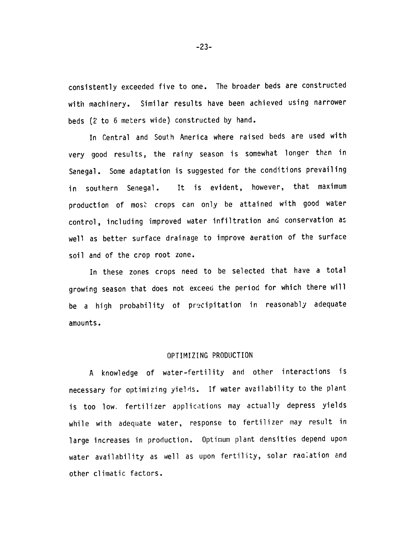consistently exceeded five to one. The broader beds are constructed with machinery. Similar results have been achieved using narrower beds (2 to 6 meters wide) constructed by hand.

In Central and South America where raised beds are used with very good results, the rainy season is somewhat longer then in Senegal. Some adaptation is suggested for the conditions prevailing in southern Senegal. It is evident, however, that maximum production of most crops can only be attained with good water control, including improved water infiltration and conservation as well as better surface drainage to improve aeration of the surface soil and of the crop root zone.

In these zones crops need to be selected that have a total growing season that does not exceed the period for which there will be a high probability of precipitation in reasonably adequate amounts.

#### OPTIMIZING PRODUCTION

A knowledge of water-fertility and other interactions is necessary for optimizing yields. If water availability to the plant is too low. fertilizer applications may actually depress yields while with adequate water, response to fertilizer may result in large increases in production. Optimum plant densities depend upon water availability as well as upon fertility, solar radiation and other climatic factors.

-23-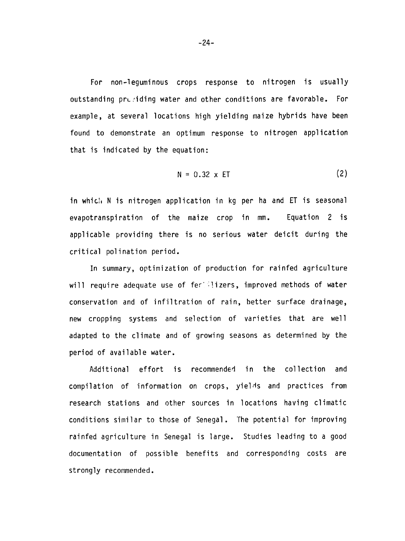For non-leguminous crops response to nitrogen is usually outstanding prugiding water and other conditions are favorable. For example, at several locations high yielding maize hybrids have been found to demonstrate an optimum response to nitrogen application that is indicated by the equation:

$$
N = 0.32 \times ET \tag{2}
$$

in which N is nitrogen application in kg per ha and ET is seasonal evapotranspiration of the maize crop in mm. Equation 2 is applicable providing there is no serious water deicit during the critical polination period.

In summary, optimization of production for rainfed agriculture will require adequate use of fericlizers, improved methods of water conservation and of infiltration of rain, better surface drainage, new cropping systems and selection of varieties that are well adapted to the climate and of growing seasons as determined by the period of available water.

Additional effort is recommended in the collection and compilation of information on crops, yields and practices from research stations and other sources in locations having climatic conditions similar to those of Senegal. The potential for improving rainfed agriculture in Senegal is large. Studies leading to a good documentation of possible benefits and corresponding costs are strongly recommended.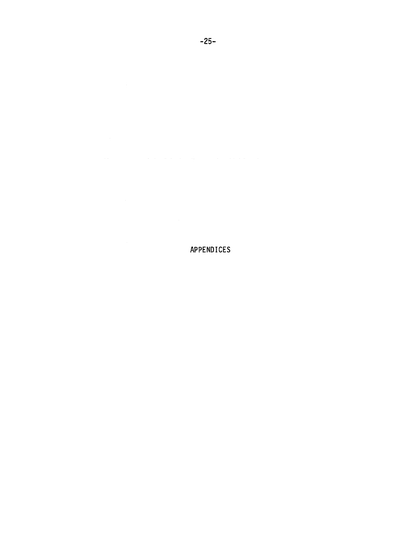# APPENDICES

### **-25-**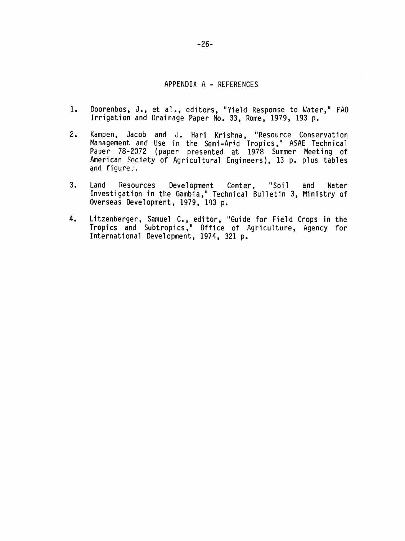### APPENDIX **A -** REFERENCES

- **1.** Doorenbos, J., et al., editors, "Yield Response to Water," **FAO**  Irrigation and Drainage Paper No. 33, Rome, 1979, 193 p.
- 2. Kampen, Jacob and J. Hari Krishna, "Resource Conservation Management and Use in the Semi-Arid Tropics," ASAE Technical Paper 78-2072 (paper presented at 1978 Summer Meeting of American Society of Agricultural Engineers), 13 p. plus tables and figures,
- 3. Land Resources Development Center, "Soil and Water Investigation in the Gambia," Technical Bulletin 3, Ministry of Overseas Development, 1979, 183 p.
- 4. Litzenberger, Samuel C., editor, "Guide for Field Crops in the Tropics and Subtropics," Office of Agriculture, Agency for International Development, 1974, 321 p.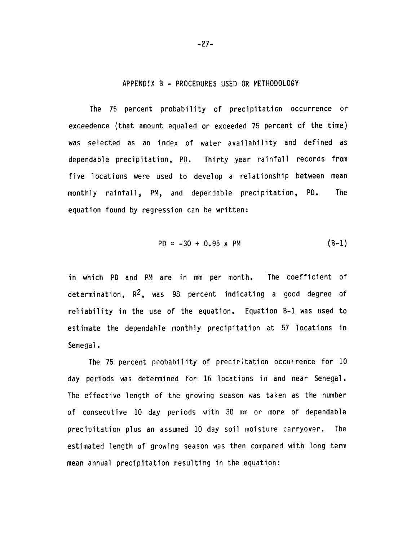#### APPENDIX B **-** PROCEDURES USED OR METHODOLOGY

The 75 percent probability of precipitation occurrence or exceedence (that amount equaled or exceeded 75 percent of the time) was selected as an index of water availability and defined as dependable precipitation, PD. Thirty year rainfall records from five locations were used to develop a relationship between mean monthly rainfall, PM, and deperiable precipitation, PD. The equation found by regression can be written:

$$
PD = -30 + 0.95 \times PM
$$
 (B-1)

in which PD and PM are in mm per month. The coefficient of determination,  $R^2$ , was 98 percent indicating a good degree of reliability in the use of the equation. Equation B-1 was used to estimate the dependable monthly precipitation at 57 locations in Senegal.

The 75 percent probability of preciritation occurrence for 10 day periods was determined for 16 locations in and near Senegal. The effective length of the growing season was taken as the number of consecutive 10 day periods with 30 mm or more of dependable precipitation plus an assumed 10 day soil moisture carryover. The estimated length of growing season was then compared with long term mean annual precipitation resulting in the equation:

-27-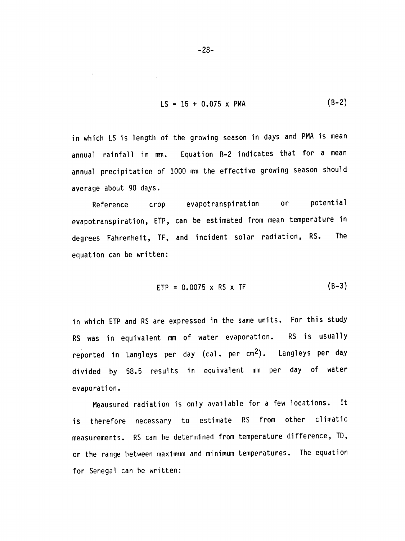$$
LS = 15 + 0.075 \times PMA
$$
 (B-2)

in which LS is length of the growing season in days and PMA is mean annual rainfall in mm. Equation B-2 indicates that for a mean annual precipitation of 1000 mm the effective growing season should average about 90 days.

Reference crop evapotranspiration or potential evapotranspiration, ETP, can be estimated from mean temperature in degrees Fahrenheit, TF, and incident solar radiation, RS. The equation can be written:

$$
ETP = 0.0075 \times RS \times TF
$$
 (B-3)

in which ETP and RS are expressed in the same units. For this study RS was in equivalent mm of water evaporation. RS is usually reported in Langleys per day (cal. per cm2). Langleys per day divided by 58.5 results in equivalent mm per day of water evaporation.

Meausured radiation is only available for a few locations. It is therefore necessary to estimate RS from other climatic measurements. RS can be determined from temperature difference, TD, or the range between maximum and minimum temperatures. The equation for Senegal can be written:

-28-

 $\hat{\mathbf{r}}$ 

 $\bar{z}$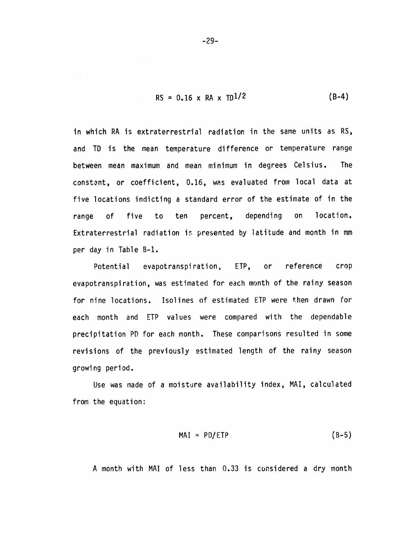$$
RS = 0.16 \times RA \times TD^{1/2}
$$
 (B-4)

in which RA is extraterrestrial radiation in the same units as RS, and TD is the mean temperature difference or temperature range between mean maximum and mean minimum in degrees Celsius. The constant, or coefficient, 0.16, was evaluated from local data at five locations indicting a standard error of the estimate of in the range of five to ten percent, depending on location. Extraterrestrial radiation is presented by latitude and month in mm per day in Table B-i.

Potential evapotranspiration, ETP, or reference crop evapotranspiration, was estimated for each month of the rainy season for nine locations. Isolines of estimated ETP were then drawn for each month and ETP values were compared with the dependable precipitation PD for each month. These comparisons resulted in some revisions of the previously estimated length of the rainy season growing period.

Use was made of a moisture availability index, MAI, calculated from the equation:

$$
MAI = PD/ETP \qquad (B-5)
$$

A month with MAI of less than 0.33 is considered a dry month

-29-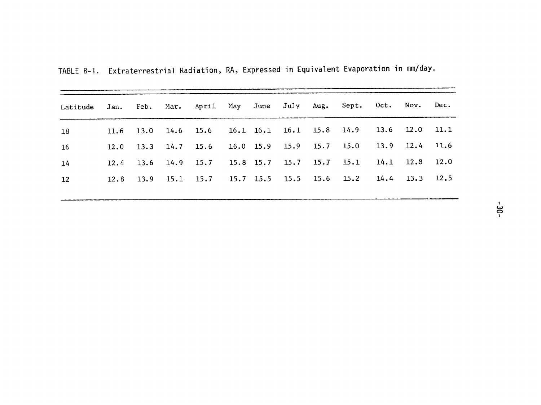| TABLE B-1. Extraterrestrial Radiation, RA, Expressed in Equivalent Evaporation in mm/day. |  |  |  |  |
|-------------------------------------------------------------------------------------------|--|--|--|--|
|                                                                                           |  |  |  |  |

| Latitude |      |  |  |  | Jan. Feb. Mar. April May June July Aug. Sept. Oct. Nov. Dec. |  |      |
|----------|------|--|--|--|--------------------------------------------------------------|--|------|
| 18       |      |  |  |  | 11.6 13.0 14.6 15.6 16.1 16.1 16.1 15.8 14.9 13.6 12.0 11.1  |  |      |
| -16      |      |  |  |  | 12.0 13.3 14.7 15.6 16.0 15.9 15.9 15.7 15.0 13.9 12.4       |  | 11.6 |
| 14       | 12.4 |  |  |  | $13.6$ 14.9 15.7 15.8 15.7 15.7 15.7 15.1 14.1 12.8 12.0     |  |      |
| 12       | 12.8 |  |  |  | 13.9 15.1 15.7 15.7 15.5 15.5 15.6 15.2 14.4 13.3 12.5       |  |      |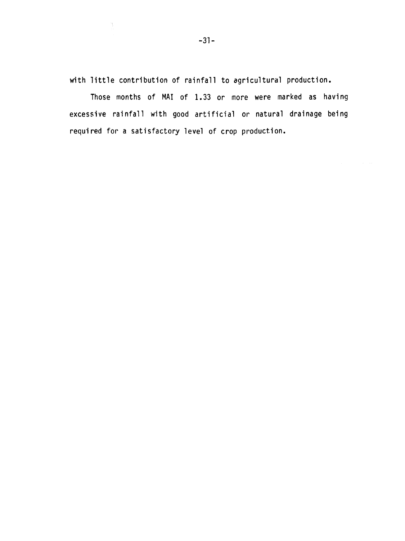with little contribution of rainfall to agricultural production.

Those months of MAI of **1.33** or more were marked as having excessive rainfall with good artificial or natural drainage being required for a satisfactory level of crop production.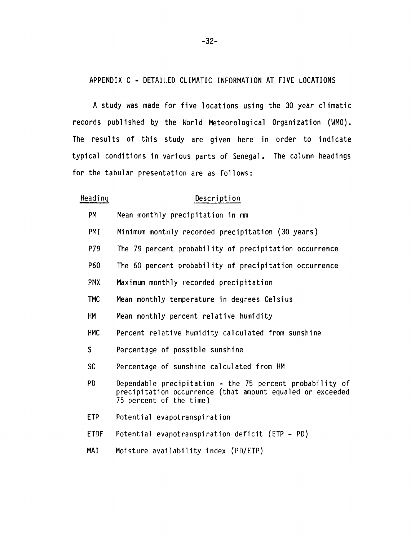## APPENDIX **C -** DETAILED CLIMATIC INFORMATION AT FIVE LOCATIONS

A study was made for five locations using the 30 year climatic records published by the World Meteorological Organization (WMO). The results of this study are given here in order to indicate typical conditions in various parts of Senegal. The column headings for the tabular presentation are as follows:

| Heading      | Description                                                                                                                                      |
|--------------|--------------------------------------------------------------------------------------------------------------------------------------------------|
| PM           | Mean monthly precipitation in mm                                                                                                                 |
| PMI          | Minimum monthly recorded precipitation (30 years)                                                                                                |
| P79          | The 79 percent probability of precipitation occurrence                                                                                           |
| P60          | The 60 percent probability of precipitation occurrence                                                                                           |
| <b>PMX</b>   | Maximum monthly recorded precipitation                                                                                                           |
| <b>TMC</b>   | Mean monthly temperature in degrees Celsius                                                                                                      |
| <b>HM</b>    | Mean monthly percent relative humidity                                                                                                           |
| <b>HMC</b>   | Percent relative humidity calculated from sunshine                                                                                               |
| $\mathsf{S}$ | Percentage of possible sunshine                                                                                                                  |
| <b>SC</b>    | Percentage of sunshine calculated from HM                                                                                                        |
| <b>PD</b>    | Dependable precipitation - the 75 percent probability of<br>precipitation occurrence (that amount equaled or exceeded<br>75 percent of the time) |
| ETP          | Potential evapotranspiration                                                                                                                     |
| <b>ETDF</b>  | Potential evapotranspiration deficit (ETP - PD)                                                                                                  |
| MAI          | Moisture availability index (PD/ETP)                                                                                                             |

-32-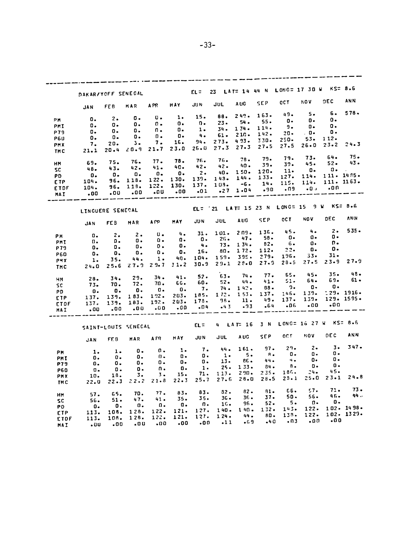| 23 LAT= 14 44 N LONG= 17 30 W KS= 8.6<br>$EL =$<br>DAKAR/YOFF SENEGAL<br>NOV.<br><b>CCT</b><br><b>SEP</b><br>A UG<br>JUL<br><b>JUN</b><br><b>HAY</b><br>MAR APR<br>FE B<br>JAN<br>5.<br>49.<br>163.<br>88. 249.<br>$15 -$<br>υ.<br>1.<br>о.<br>2.<br>0.<br>PH.<br>о.<br>0.<br>$55 -$<br>54.<br>$23 -$<br>n.<br>о.<br>$\mathfrak{a}$ .<br>о.<br>о.<br>ο.<br>PMI<br>О٠<br>-9.<br>114.<br>134.<br>$34 -$<br>1.<br>о.<br>п. | <b>DEC</b><br>б.<br>ο.<br>ο. | <b>ANN</b><br>$578 -$ |
|-------------------------------------------------------------------------------------------------------------------------------------------------------------------------------------------------------------------------------------------------------------------------------------------------------------------------------------------------------------------------------------------------------------------------|------------------------------|-----------------------|
|                                                                                                                                                                                                                                                                                                                                                                                                                         |                              |                       |
|                                                                                                                                                                                                                                                                                                                                                                                                                         |                              |                       |
|                                                                                                                                                                                                                                                                                                                                                                                                                         |                              |                       |
|                                                                                                                                                                                                                                                                                                                                                                                                                         |                              |                       |
|                                                                                                                                                                                                                                                                                                                                                                                                                         |                              |                       |
| о.<br>ο.<br>о.<br>P79<br>. 0.<br>$20 -$<br>$142 -$<br>210.<br>61.<br>- 4 -<br>о.<br>$\mathfrak n$ .                                                                                                                                                                                                                                                                                                                     | о.                           |                       |
| о.<br>о.<br>о.<br><b>P6U</b><br>$53-$<br>250.<br>330.<br>493.<br>$273 -$<br>94.<br>16.<br>7.                                                                                                                                                                                                                                                                                                                            | 112.                         |                       |
| з.<br>20.<br>7.<br><b>PMX</b><br>$26 - 0$<br>27.5<br>27.5<br>$27.3$ $27.3$<br>$26 - 0$<br>23.0<br>21.7                                                                                                                                                                                                                                                                                                                  | $23 - 2$                     | 24.3                  |
| 20.9<br>$20 - 4$<br>21.1<br>TMC                                                                                                                                                                                                                                                                                                                                                                                         |                              |                       |
| $73-$<br>79.<br>79.<br>78.<br>76.<br>76.<br>78.<br>77.                                                                                                                                                                                                                                                                                                                                                                  | 64.                          | 75.                   |
| 76.<br>75.<br>69.<br>HM.<br>45.<br>$39 -$<br>39.<br>- 40 -<br>42.<br>$42 -$<br>40.                                                                                                                                                                                                                                                                                                                                      | $52 -$                       | 43.                   |
| 41.<br>42.<br>$43 -$<br>48.<br><b>SC</b><br>О.<br>11.<br>120.<br>40. 150.<br>$2 \cdot$                                                                                                                                                                                                                                                                                                                                  | $\mathbf{0}$ .               |                       |
| 0.<br>$\overline{\mathbf{0}}$ .<br>$\mathbf{0}$ .<br>0.<br>$\mathbf{0}$ .<br>PD.<br>114.<br>127.<br>$133 -$<br>144.<br>$143 -$<br>139.                                                                                                                                                                                                                                                                                  | 111. 1485.                   |                       |
| 130.<br>122.<br>118.<br>96.<br>104.<br>ETP.<br>114.<br>115.<br>14.<br>$103. -6.$<br>137.                                                                                                                                                                                                                                                                                                                                |                              | 111.1163.             |
| 130.<br>122.<br>113.<br>96.<br>104.<br><b>ETDF</b><br>$-0.1$<br>.09<br>.90<br>$-27$ 1.04                                                                                                                                                                                                                                                                                                                                | 00.                          |                       |
| .01<br>.00<br>.00<br>.00<br>0٥.<br>.00<br>MAI                                                                                                                                                                                                                                                                                                                                                                           |                              |                       |
|                                                                                                                                                                                                                                                                                                                                                                                                                         |                              |                       |
| EL= '21 LAT= 15 23 N LONG= 15 9 W KS= 8.6<br>LINGUERE SENEGAL                                                                                                                                                                                                                                                                                                                                                           |                              |                       |
| NOV <sub>D</sub><br>OC T<br><b>SEP</b><br>JUL AUG<br>JUN.<br><b>MAY</b><br>A PP<br>MAR<br>FE B<br><b>JAN</b>                                                                                                                                                                                                                                                                                                            | DEC.                         | ANN.                  |
| $\sim$ 4.<br>136. 45.<br>$2 \n 19$<br>101.<br>31.<br>ч.                                                                                                                                                                                                                                                                                                                                                                 | $2 -$                        | $535 -$               |
| <b>U.</b><br>$2 \cdot$<br>$2\cdot$<br>PM<br>0.<br>- 0 -<br>0.<br>58.<br>$-47.$<br>$26 -$<br>0.                                                                                                                                                                                                                                                                                                                          | О.                           |                       |
| Ω.<br>Ο.<br>о.<br>Ω.<br>п.<br><b>PHI</b><br>$-6-$<br>0٠<br>$82 -$<br>$73 -$<br>134.<br>4.1                                                                                                                                                                                                                                                                                                                              | Ω.                           |                       |
| о.<br>о.<br>о.<br>о.<br>0.<br>P79<br>о.<br>$22-$<br>112.<br>172.<br>80.                                                                                                                                                                                                                                                                                                                                                 | о.                           |                       |
| 16.<br>0.<br>ο.<br>о.<br>Ο.<br><b>P60</b><br>ο.<br>$33 -$<br>196.<br>395. 279.                                                                                                                                                                                                                                                                                                                                          | $31 -$                       |                       |
| 159.<br>104.<br>4Ω.<br>1.<br>44.<br>35.<br>1.<br>PMX<br>27.5<br>$28 - 5$<br>27.9<br>$2.9 - 0$                                                                                                                                                                                                                                                                                                                           |                              | $23 - 9$ $27 - 9$     |
| 29.1<br>30.9<br>$27.9$ $29.7$ $31.2$<br>25.6<br>$24 - 0$<br><b>THC</b>                                                                                                                                                                                                                                                                                                                                                  |                              |                       |
| 45.<br>- 65.<br>77.<br>74.<br>63.<br>52.                                                                                                                                                                                                                                                                                                                                                                                | 35.                          | 48.                   |
| 41.<br>34.<br>29.<br>34.<br>28.<br>нм<br>64.<br>51.<br>$-44.$<br>41.<br>$52 -$                                                                                                                                                                                                                                                                                                                                          | 69.                          | 61 -                  |
| 60.<br>66.<br>70.<br>72.<br>70.<br>73.<br>SC.<br>0.<br>9.<br>$88 -$<br>74.142.                                                                                                                                                                                                                                                                                                                                          | <b>O.</b>                    |                       |
| 7.<br>$\mathbf{0}$ .<br>0.<br>$\mathbf{0}$ .<br>0.<br>0.<br>PD<br>139.<br>146.<br>137.<br>$153 -$<br>112.                                                                                                                                                                                                                                                                                                               |                              | : 29.1916.            |
| 185.<br>$203 -$<br>122.<br>183.<br>139.<br>137.<br><b>ETP</b><br>139.<br>$137 -$<br>49.<br>11.                                                                                                                                                                                                                                                                                                                          |                              | 129. 1595.            |
| 98.<br>178.<br>$203 -$<br>$192 -$<br>183.<br>139.<br>137.<br><b>ETDF</b><br>- 00<br>-06<br>-64<br>$-93$                                                                                                                                                                                                                                                                                                                 | .00                          |                       |
| $-43$<br>$-04$<br>.00<br>00.00<br>.00<br>.00.<br><b>HAI</b>                                                                                                                                                                                                                                                                                                                                                             |                              |                       |
| 3 N LONG= 16 27 W KS= 8.6<br>4 LAT-16<br>EL =<br>SAINT-LOUIS SENECAL                                                                                                                                                                                                                                                                                                                                                    |                              |                       |
| <b>NOV</b><br>OCT.<br><b>SEP</b><br>A UG<br>JUL<br><b>JUN</b><br><b>HAY</b><br>APR<br>MAR<br>FE B<br><b>JAN</b>                                                                                                                                                                                                                                                                                                         | OE C                         | <b>ANN</b>            |
| $2 -$<br>$29 -$<br>$97 -$<br>161.<br>- 44.                                                                                                                                                                                                                                                                                                                                                                              | $3 -$                        | $347 -$               |
| $\overline{7}$ .<br>$\mathbf{1}$<br>α.<br>ο.<br>$\mathbf{1}$ .<br>$\overline{\mathbf{1}}$ .<br>PМ<br>Ω.<br>о.<br>я.<br>5.<br>1.                                                                                                                                                                                                                                                                                         | ο.                           |                       |
| о.<br>в.<br>$0 -$<br>О.<br>0.<br>ο.<br><b>PMI</b><br>о.<br>$4 -$<br>44.<br>$8E -$<br>$13 -$                                                                                                                                                                                                                                                                                                                             | о.                           |                       |
| о.<br>О.<br>ο.<br>Ο.<br>ο.<br>о.<br><b>P79</b><br>8.<br>о.<br>84.<br>133.<br>$25 -$                                                                                                                                                                                                                                                                                                                                     | о.                           |                       |
| $\mathbf{1}$<br>о.<br>n.<br>о.<br>0.<br>о.<br><b>P60</b><br>24.<br>186.<br>$290 -$<br>$235 -$<br>$113 -$                                                                                                                                                                                                                                                                                                                | 45.                          |                       |
| 71.<br>15.<br>$3 \cdot$<br>3.<br>18.<br>10.<br>PMX                                                                                                                                                                                                                                                                                                                                                                      |                              | $24 - 8$              |
| 22.3 22.2 21.8 22.3 25.7 27.6 28.0 28.5 29.1 25.0 23.1<br>22.0<br>TH <sub>C</sub>                                                                                                                                                                                                                                                                                                                                       |                              |                       |
| 57.<br>66.<br>$81 -$<br>$82 -$<br>$32 -$                                                                                                                                                                                                                                                                                                                                                                                | $71 -$                       | $73 -$                |
| 83.<br>$83-$<br>77.<br>70.<br>55.<br>57.<br>HМ<br>56.<br>50.<br>37.<br>36.                                                                                                                                                                                                                                                                                                                                              | 46.                          | 44.,                  |
| 36.<br>35.<br>35.<br>41.<br>47.<br>51.<br><b>SC</b><br>56.<br>Ω.<br>5.<br>52.                                                                                                                                                                                                                                                                                                                                           | О.                           |                       |
| 96.<br>16.<br>п.<br>Ω.<br>Ω.<br>Ο.<br>О,<br>Ο.<br>PD<br>122.<br>143.                                                                                                                                                                                                                                                                                                                                                    |                              | 102. 1498.            |
| 132.<br>140.<br>140.<br>127.<br>121.<br>122.<br>128.<br>108.<br>113.<br>ETP.<br>122.<br>138.                                                                                                                                                                                                                                                                                                                            |                              | 102. 1329.            |
| 80.<br>44.<br>124.<br>127.<br>121.<br>122.<br>128.<br>108.<br>113.<br><b>ETDF</b><br>.00<br>03.                                                                                                                                                                                                                                                                                                                         | 0٥.                          |                       |
| $-40$<br>$-69$<br>.11<br>-00<br>-00<br>•០០<br>.00<br>.00<br>. បប<br>MAI                                                                                                                                                                                                                                                                                                                                                 |                              |                       |